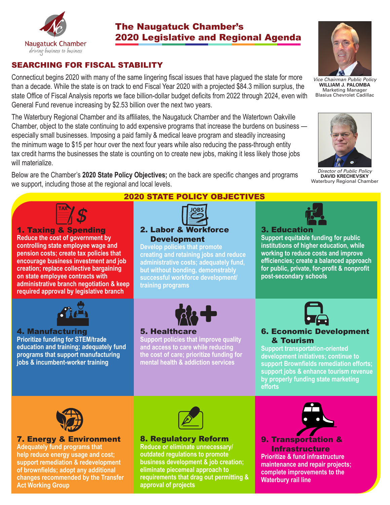

# The Naugatuck Chamber's 2020 Legislative and Regional Agenda

## SEARCHING FOR FISCAL STABILITY

Connecticut begins 2020 with many of the same lingering fiscal issues that have plagued the state for more than a decade. While the state is on track to end Fiscal Year 2020 with a projected \$84.3 million surplus, the state Office of Fiscal Analysis reports we face billion-dollar budget deficits from 2022 through 2024, even with General Fund revenue increasing by \$2.53 billion over the next two years.

The Waterbury Regional Chamber and its affiliates, the Naugatuck Chamber and the Watertown Oakville Chamber, object to the state continuing to add expensive programs that increase the burdens on business especially small businesses. Imposing a paid family & medical leave program and steadily increasing the minimum wage to \$15 per hour over the next four years while also reducing the pass-through entity tax credit harms the businesses the state is counting on to create new jobs, making it less likely those jobs will materialize.

Below are the Chamber's **2020 State Policy Objectives;** on the back are specific changes and programs we support, including those at the regional and local levels.



1. Taxing & Spending **Reduce the cost of government by controlling state employee wage and pension costs; create tax policies that encourage business investment and job creation; replace collective bargaining on state employee contracts with administrative branch negotiation & keep required approval by legislative branch**



#### 4. Manufacturing

**Prioritize funding for STEM/trade education and training; adequately fund programs that support manufacturing jobs & incumbent-worker training**

## 2020 STATE POLICY OBJECTIVES



2. Labor & Workforce Development

**Develop policies that promote creating and retaining jobs and reduce administrative costs; adequately fund, but without bonding, demonstrably successful workforce development/ training programs** 



## 5. Healthcare

**Support policies that improve quality and access to care while reducing the cost of care; prioritize funding for mental health & addiction services**



*Vice Chairman Public Policy* **WILLIAM J. PALOMBA** Marketing Manager Blasius Chevrolet Cadillac



*Director of Public Policy* **DAVID KRECHEVSKY** Waterbury Regional Chamber



**Support equitable funding for public institutions of higher education, while working to reduce costs and improve efficiencies; create a balanced approach for public, private, for-profit & nonprofit post-secondary schools**



## 6. Economic Development & Tourism

**Support transportation-oriented development initiatives; continue to support Brownfields remediation efforts; support jobs & enhance tourism revenue by properly funding state marketing efforts**



### 7. Energy & Environment

**Adequately fund programs that help reduce energy usage and cost; support remediation & redevelopment of brownfields; adopt any additional changes recommended by the Transfer Act Working Group**



#### 8. Regulatory Reform

**Reduce or eliminate unnecessary/ outdated regulations to promote business development & job creation; eliminate piecemeal approach to requirements that drag out permitting & approval of projects**



9. Transportation & Infrastructure **Prioritize & fund infrastructure maintenance and repair projects; complete improvements to the Waterbury rail line**